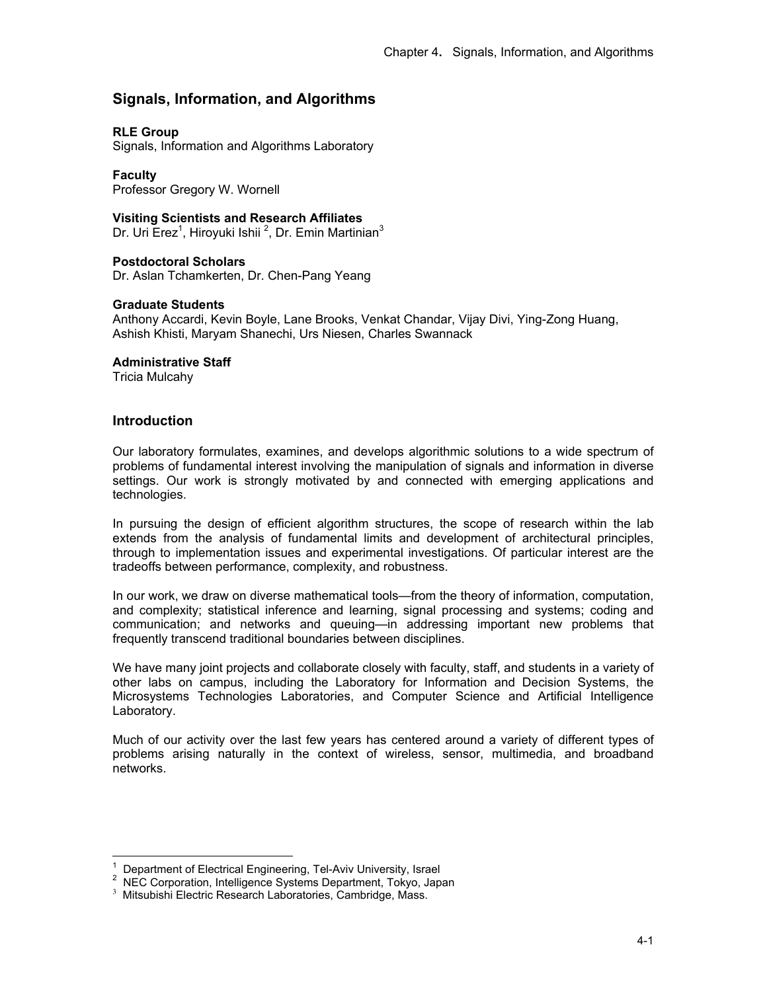# **Signals, Information, and Algorithms**

# **RLE Group**

Signals, Information and Algorithms Laboratory

**Faculty**  Professor Gregory W. Wornell

# **Visiting Scientists and Research Affiliates**

Dr. Uri Erez<sup>1</sup>, Hiroyuki Ishii <sup>2</sup>, Dr. Emin Martinian<sup>3</sup>

# **Postdoctoral Scholars**

Dr. Aslan Tchamkerten, Dr. Chen-Pang Yeang

# **Graduate Students**

Anthony Accardi, Kevin Boyle, Lane Brooks, Venkat Chandar, Vijay Divi, Ying-Zong Huang, Ashish Khisti, Maryam Shanechi, Urs Niesen, Charles Swannack

# **Administrative Staff**

Tricia Mulcahy

# **Introduction**

 $\overline{1}$ 

Our laboratory formulates, examines, and develops algorithmic solutions to a wide spectrum of problems of fundamental interest involving the manipulation of signals and information in diverse settings. Our work is strongly motivated by and connected with emerging applications and technologies.

In pursuing the design of efficient algorithm structures, the scope of research within the lab extends from the analysis of fundamental limits and development of architectural principles, through to implementation issues and experimental investigations. Of particular interest are the tradeoffs between performance, complexity, and robustness.

In our work, we draw on diverse mathematical tools—from the theory of information, computation, and complexity; statistical inference and learning, signal processing and systems; coding and communication; and networks and queuing—in addressing important new problems that frequently transcend traditional boundaries between disciplines.

We have many joint projects and collaborate closely with faculty, staff, and students in a variety of other labs on campus, including the Laboratory for Information and Decision Systems, the Microsystems Technologies Laboratories, and Computer Science and Artificial Intelligence Laboratory.

Much of our activity over the last few years has centered around a variety of different types of problems arising naturally in the context of wireless, sensor, multimedia, and broadband networks.

<sup>1</sup> Department of Electrical Engineering, Tel-Aviv University, Israel

<sup>2</sup> NEC Corporation, Intelligence Systems Department, Tokyo, Japan

<sup>&</sup>lt;sup>3</sup> Mitsubishi Electric Research Laboratories, Cambridge, Mass.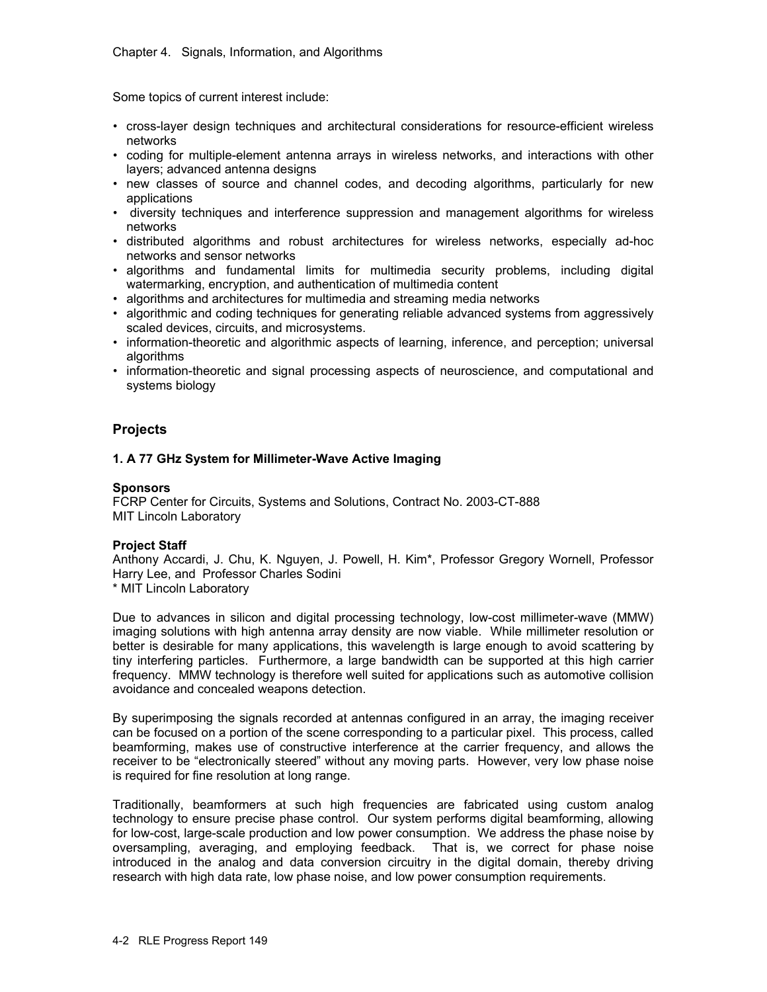Some topics of current interest include:

- cross-layer design techniques and architectural considerations for resource-efficient wireless networks
- coding for multiple-element antenna arrays in wireless networks, and interactions with other layers; advanced antenna designs
- new classes of source and channel codes, and decoding algorithms, particularly for new applications
- diversity techniques and interference suppression and management algorithms for wireless networks
- distributed algorithms and robust architectures for wireless networks, especially ad-hoc networks and sensor networks
- algorithms and fundamental limits for multimedia security problems, including digital watermarking, encryption, and authentication of multimedia content
- algorithms and architectures for multimedia and streaming media networks
- algorithmic and coding techniques for generating reliable advanced systems from aggressively scaled devices, circuits, and microsystems.
- information-theoretic and algorithmic aspects of learning, inference, and perception; universal algorithms
- information-theoretic and signal processing aspects of neuroscience, and computational and systems biology

# **Projects**

# **1. A 77 GHz System for Millimeter-Wave Active Imaging**

# **Sponsors**

FCRP Center for Circuits, Systems and Solutions, Contract No. 2003-CT-888 MIT Lincoln Laboratory

# **Project Staff**

Anthony Accardi, J. Chu, K. Nguyen, J. Powell, H. Kim\*, Professor Gregory Wornell, Professor Harry Lee, and Professor Charles Sodini

\* MIT Lincoln Laboratory

Due to advances in silicon and digital processing technology, low-cost millimeter-wave (MMW) imaging solutions with high antenna array density are now viable. While millimeter resolution or better is desirable for many applications, this wavelength is large enough to avoid scattering by tiny interfering particles. Furthermore, a large bandwidth can be supported at this high carrier frequency. MMW technology is therefore well suited for applications such as automotive collision avoidance and concealed weapons detection.

By superimposing the signals recorded at antennas configured in an array, the imaging receiver can be focused on a portion of the scene corresponding to a particular pixel. This process, called beamforming, makes use of constructive interference at the carrier frequency, and allows the receiver to be "electronically steered" without any moving parts. However, very low phase noise is required for fine resolution at long range.

Traditionally, beamformers at such high frequencies are fabricated using custom analog technology to ensure precise phase control. Our system performs digital beamforming, allowing for low-cost, large-scale production and low power consumption. We address the phase noise by oversampling, averaging, and employing feedback. That is, we correct for phase noise introduced in the analog and data conversion circuitry in the digital domain, thereby driving research with high data rate, low phase noise, and low power consumption requirements.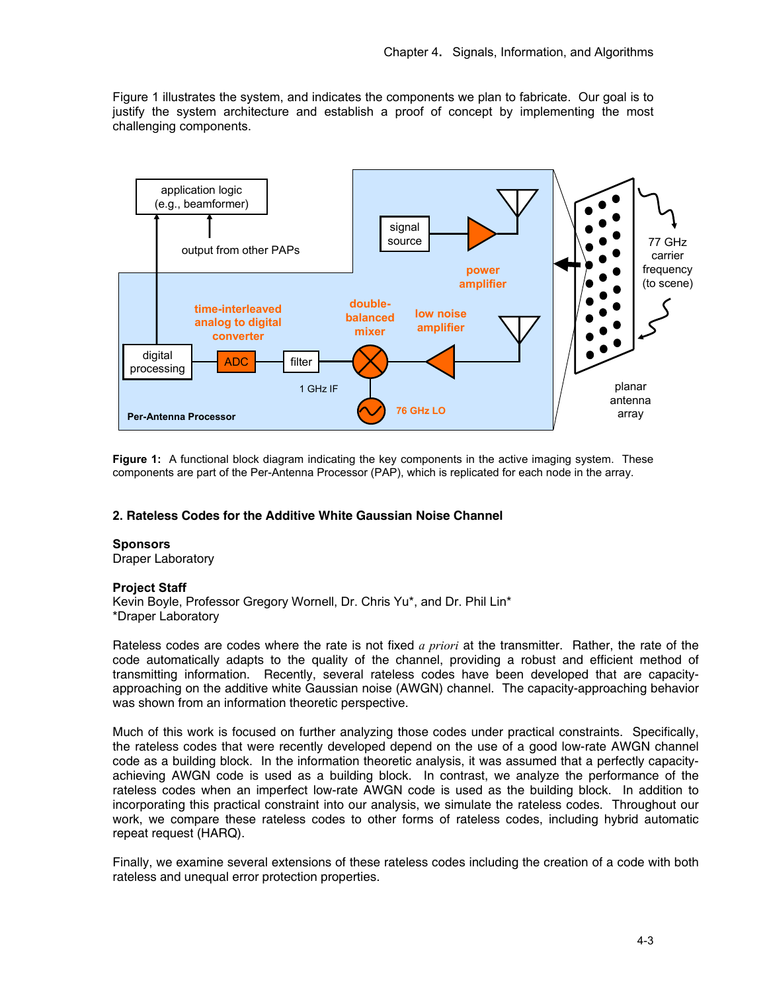Figure 1 illustrates the system, and indicates the components we plan to fabricate. Our goal is to justify the system architecture and establish a proof of concept by implementing the most challenging components.



**Figure 1:** A functional block diagram indicating the key components in the active imaging system. These components are part of the Per-Antenna Processor (PAP), which is replicated for each node in the array.

# **2. Rateless Codes for the Additive White Gaussian Noise Channel**

#### **Sponsors**

Draper Laboratory

#### **Project Staff**

Kevin Boyle, Professor Gregory Wornell, Dr. Chris Yu\*, and Dr. Phil Lin\* \*Draper Laboratory

Rateless codes are codes where the rate is not fixed *a priori* at the transmitter. Rather, the rate of the code automatically adapts to the quality of the channel, providing a robust and efficient method of transmitting information. Recently, several rateless codes have been developed that are capacityapproaching on the additive white Gaussian noise (AWGN) channel. The capacity-approaching behavior was shown from an information theoretic perspective.

Much of this work is focused on further analyzing those codes under practical constraints. Specifically, the rateless codes that were recently developed depend on the use of a good low-rate AWGN channel code as a building block. In the information theoretic analysis, it was assumed that a perfectly capacityachieving AWGN code is used as a building block. In contrast, we analyze the performance of the rateless codes when an imperfect low-rate AWGN code is used as the building block. In addition to incorporating this practical constraint into our analysis, we simulate the rateless codes. Throughout our work, we compare these rateless codes to other forms of rateless codes, including hybrid automatic repeat request (HARQ).

Finally, we examine several extensions of these rateless codes including the creation of a code with both rateless and unequal error protection properties.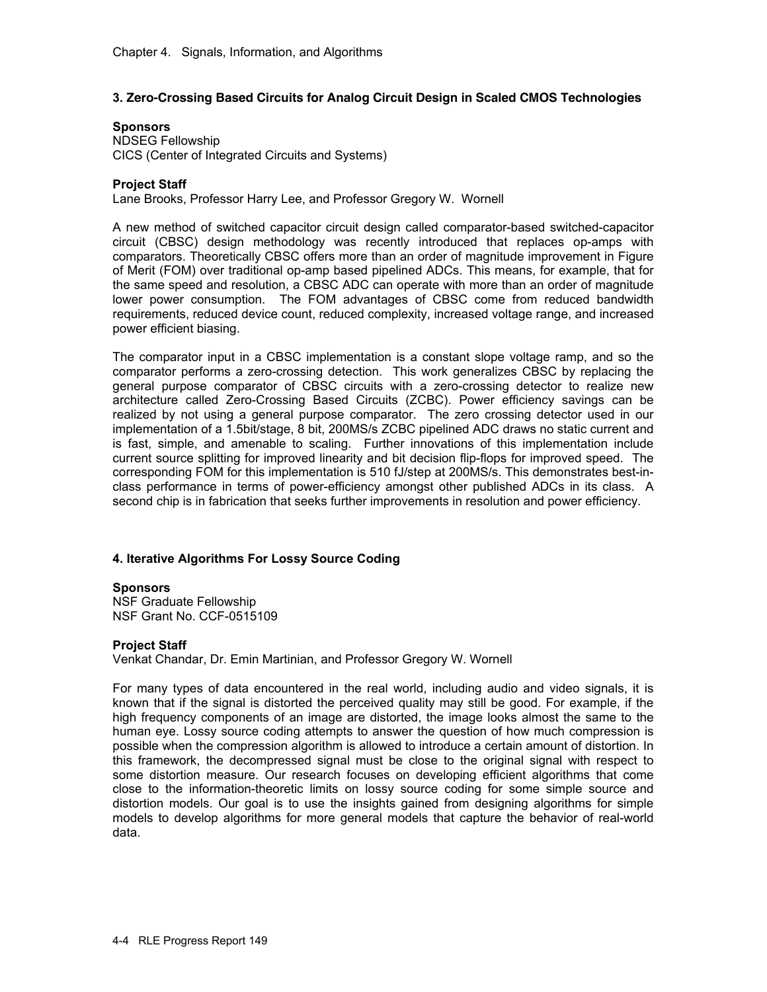# **3. Zero-Crossing Based Circuits for Analog Circuit Design in Scaled CMOS Technologies**

### **Sponsors**

NDSEG Fellowship CICS (Center of Integrated Circuits and Systems)

### **Project Staff**

Lane Brooks, Professor Harry Lee, and Professor Gregory W. Wornell

A new method of switched capacitor circuit design called comparator-based switched-capacitor circuit (CBSC) design methodology was recently introduced that replaces op-amps with comparators. Theoretically CBSC offers more than an order of magnitude improvement in Figure of Merit (FOM) over traditional op-amp based pipelined ADCs. This means, for example, that for the same speed and resolution, a CBSC ADC can operate with more than an order of magnitude lower power consumption. The FOM advantages of CBSC come from reduced bandwidth requirements, reduced device count, reduced complexity, increased voltage range, and increased power efficient biasing.

The comparator input in a CBSC implementation is a constant slope voltage ramp, and so the comparator performs a zero-crossing detection. This work generalizes CBSC by replacing the general purpose comparator of CBSC circuits with a zero-crossing detector to realize new architecture called Zero-Crossing Based Circuits (ZCBC). Power efficiency savings can be realized by not using a general purpose comparator. The zero crossing detector used in our implementation of a 1.5bit/stage, 8 bit, 200MS/s ZCBC pipelined ADC draws no static current and is fast, simple, and amenable to scaling. Further innovations of this implementation include current source splitting for improved linearity and bit decision flip-flops for improved speed. The corresponding FOM for this implementation is 510 fJ/step at 200MS/s. This demonstrates best-inclass performance in terms of power-efficiency amongst other published ADCs in its class. A second chip is in fabrication that seeks further improvements in resolution and power efficiency.

# **4. Iterative Algorithms For Lossy Source Coding**

#### **Sponsors**

NSF Graduate Fellowship NSF Grant No. CCF-0515109

#### **Project Staff**

Venkat Chandar, Dr. Emin Martinian, and Professor Gregory W. Wornell

For many types of data encountered in the real world, including audio and video signals, it is known that if the signal is distorted the perceived quality may still be good. For example, if the high frequency components of an image are distorted, the image looks almost the same to the human eye. Lossy source coding attempts to answer the question of how much compression is possible when the compression algorithm is allowed to introduce a certain amount of distortion. In this framework, the decompressed signal must be close to the original signal with respect to some distortion measure. Our research focuses on developing efficient algorithms that come close to the information-theoretic limits on lossy source coding for some simple source and distortion models. Our goal is to use the insights gained from designing algorithms for simple models to develop algorithms for more general models that capture the behavior of real-world data.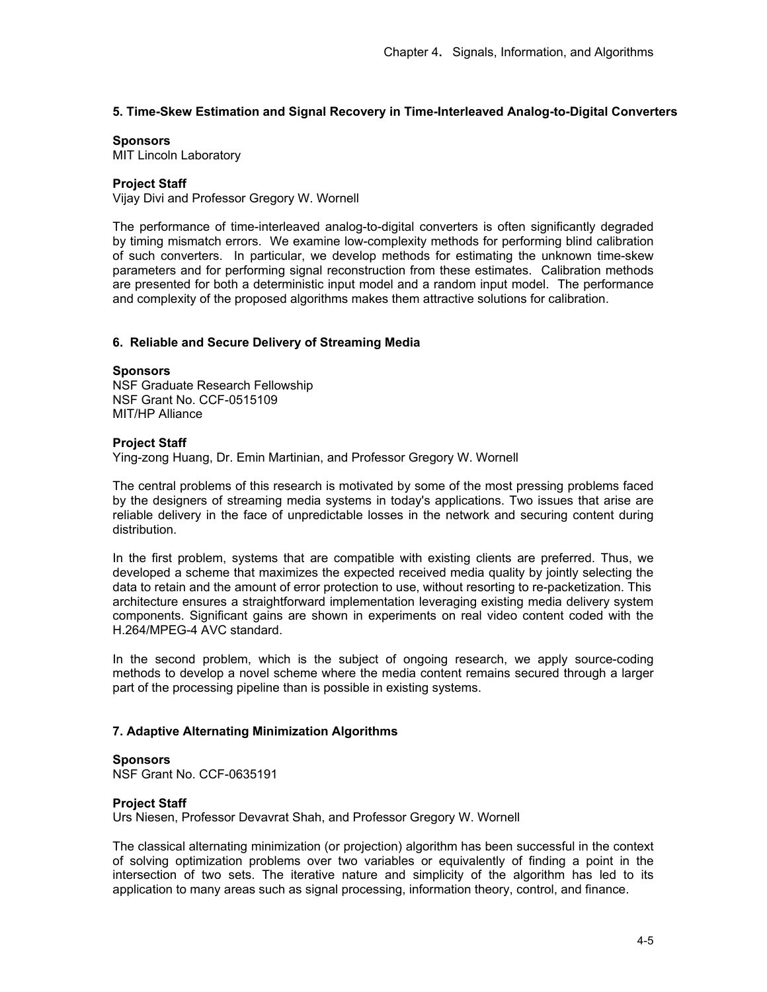# **5. Time-Skew Estimation and Signal Recovery in Time-Interleaved Analog-to-Digital Converters**

### **Sponsors**

MIT Lincoln Laboratory

# **Project Staff**

Vijay Divi and Professor Gregory W. Wornell

The performance of time-interleaved analog-to-digital converters is often significantly degraded by timing mismatch errors. We examine low-complexity methods for performing blind calibration of such converters. In particular, we develop methods for estimating the unknown time-skew parameters and for performing signal reconstruction from these estimates. Calibration methods are presented for both a deterministic input model and a random input model. The performance and complexity of the proposed algorithms makes them attractive solutions for calibration.

# **6. Reliable and Secure Delivery of Streaming Media**

#### **Sponsors**

NSF Graduate Research Fellowship NSF Grant No. CCF-0515109 MIT/HP Alliance

#### **Project Staff**

Ying-zong Huang, Dr. Emin Martinian, and Professor Gregory W. Wornell

The central problems of this research is motivated by some of the most pressing problems faced by the designers of streaming media systems in today's applications. Two issues that arise are reliable delivery in the face of unpredictable losses in the network and securing content during distribution.

In the first problem, systems that are compatible with existing clients are preferred. Thus, we developed a scheme that maximizes the expected received media quality by jointly selecting the data to retain and the amount of error protection to use, without resorting to re-packetization. This architecture ensures a straightforward implementation leveraging existing media delivery system components. Significant gains are shown in experiments on real video content coded with the H.264/MPEG-4 AVC standard.

In the second problem, which is the subject of ongoing research, we apply source-coding methods to develop a novel scheme where the media content remains secured through a larger part of the processing pipeline than is possible in existing systems.

# **7. Adaptive Alternating Minimization Algorithms**

#### **Sponsors**

NSF Grant No. CCF-0635191

# **Project Staff**

Urs Niesen, Professor Devavrat Shah, and Professor Gregory W. Wornell

The classical alternating minimization (or projection) algorithm has been successful in the context of solving optimization problems over two variables or equivalently of finding a point in the intersection of two sets. The iterative nature and simplicity of the algorithm has led to its application to many areas such as signal processing, information theory, control, and finance.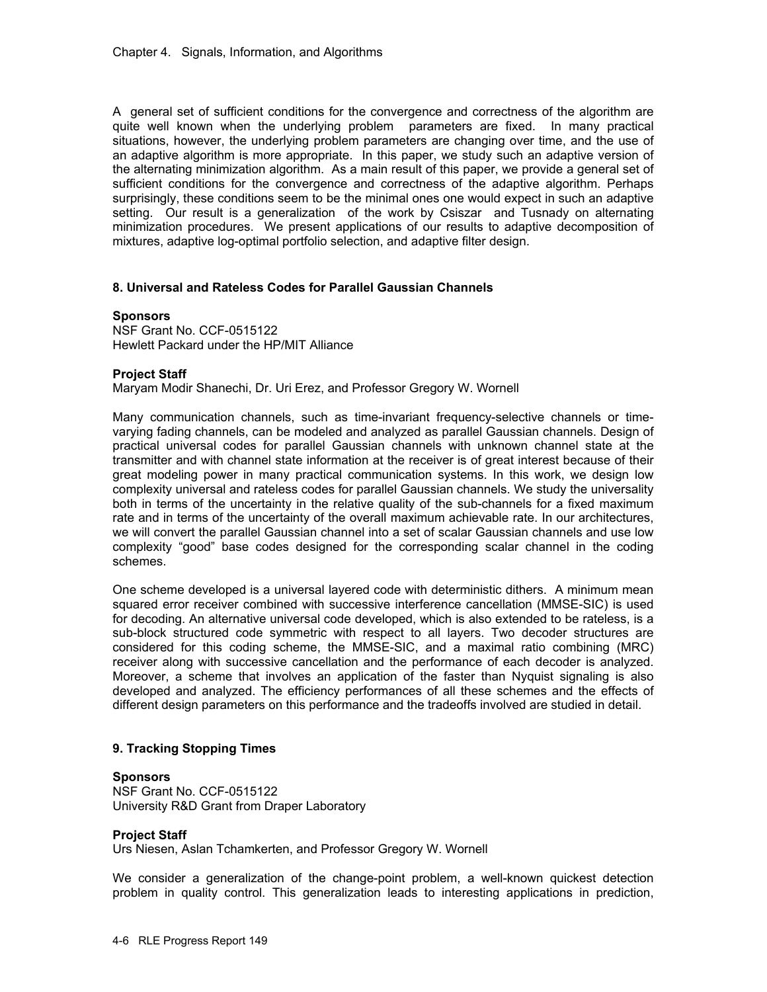A general set of sufficient conditions for the convergence and correctness of the algorithm are quite well known when the underlying problem parameters are fixed. In many practical situations, however, the underlying problem parameters are changing over time, and the use of an adaptive algorithm is more appropriate. In this paper, we study such an adaptive version of the alternating minimization algorithm. As a main result of this paper, we provide a general set of sufficient conditions for the convergence and correctness of the adaptive algorithm. Perhaps surprisingly, these conditions seem to be the minimal ones one would expect in such an adaptive setting. Our result is a generalization of the work by Csiszar and Tusnady on alternating minimization procedures. We present applications of our results to adaptive decomposition of mixtures, adaptive log-optimal portfolio selection, and adaptive filter design.

# **8. Universal and Rateless Codes for Parallel Gaussian Channels**

### **Sponsors**

NSF Grant No. CCF-0515122 Hewlett Packard under the HP/MIT Alliance

### **Project Staff**

Maryam Modir Shanechi, Dr. Uri Erez, and Professor Gregory W. Wornell

Many communication channels, such as time-invariant frequency-selective channels or timevarying fading channels, can be modeled and analyzed as parallel Gaussian channels. Design of practical universal codes for parallel Gaussian channels with unknown channel state at the transmitter and with channel state information at the receiver is of great interest because of their great modeling power in many practical communication systems. In this work, we design low complexity universal and rateless codes for parallel Gaussian channels. We study the universality both in terms of the uncertainty in the relative quality of the sub-channels for a fixed maximum rate and in terms of the uncertainty of the overall maximum achievable rate. In our architectures, we will convert the parallel Gaussian channel into a set of scalar Gaussian channels and use low complexity "good" base codes designed for the corresponding scalar channel in the coding schemes.

One scheme developed is a universal layered code with deterministic dithers. A minimum mean squared error receiver combined with successive interference cancellation (MMSE-SIC) is used for decoding. An alternative universal code developed, which is also extended to be rateless, is a sub-block structured code symmetric with respect to all layers. Two decoder structures are considered for this coding scheme, the MMSE-SIC, and a maximal ratio combining (MRC) receiver along with successive cancellation and the performance of each decoder is analyzed. Moreover, a scheme that involves an application of the faster than Nyquist signaling is also developed and analyzed. The efficiency performances of all these schemes and the effects of different design parameters on this performance and the tradeoffs involved are studied in detail.

# **9. Tracking Stopping Times**

#### **Sponsors**

NSF Grant No. CCF-0515122 University R&D Grant from Draper Laboratory

#### **Project Staff**

Urs Niesen, Aslan Tchamkerten, and Professor Gregory W. Wornell

We consider a generalization of the change-point problem, a well-known quickest detection problem in quality control. This generalization leads to interesting applications in prediction,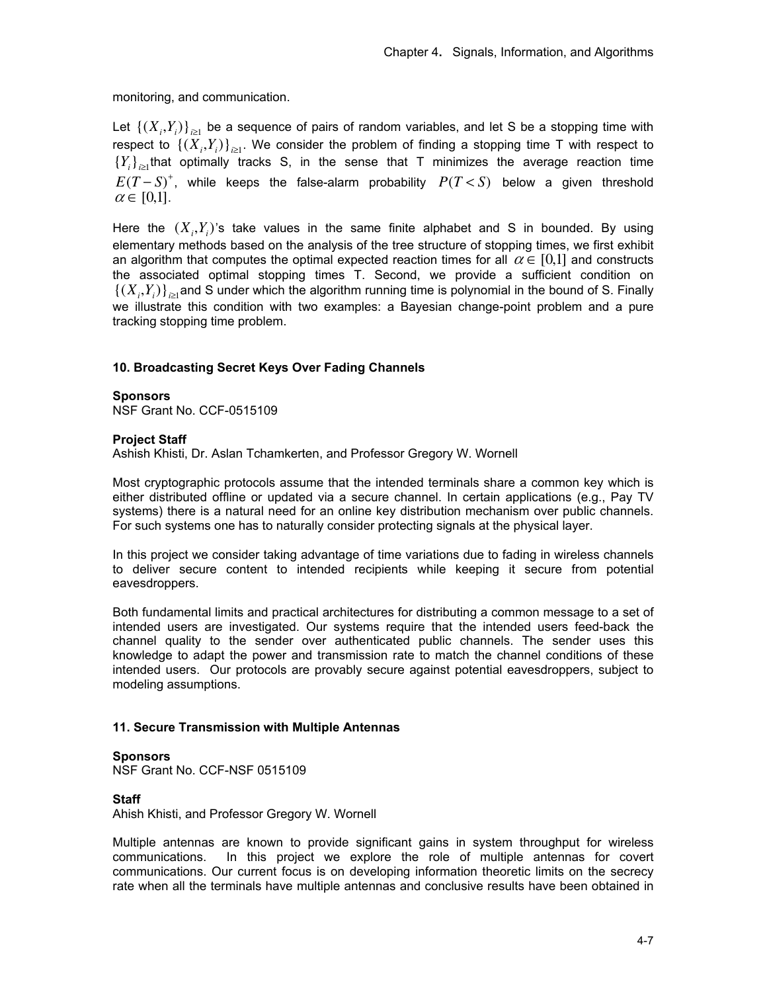monitoring, and communication.

Let  $\{(X_i, Y_i)\}_{i\geq 1}$  be a sequence of pairs of random variables, and let S be a stopping time with respect to  $\{(X_i,Y_i)\}_{i\geq 1}$ . We consider the problem of finding a stopping time T with respect to  ${Y_i}_{i \geq 1}$  that optimally tracks S, in the sense that T minimizes the average reaction time  $E(T-S)^+$ , while keeps the false-alarm probability  $P(T below a given threshold$  $\alpha \in [0,1]$ .

Here the  $(X_i, Y_i)$ 's take values in the same finite alphabet and S in bounded. By using elementary methods based on the analysis of the tree structure of stopping times, we first exhibit an algorithm that computes the optimal expected reaction times for all  $\alpha \in [0,1]$  and constructs the associated optimal stopping times T. Second, we provide a sufficient condition on  $\{(X_i, Y_i)\}_{i \geq 1}$  and S under which the algorithm running time is polynomial in the bound of S. Finally we illustrate this condition with two examples: a Bayesian change-point problem and a pure tracking stopping time problem.

# **10. Broadcasting Secret Keys Over Fading Channels**

### **Sponsors**

NSF Grant No. CCF-0515109

### **Project Staff**

Ashish Khisti, Dr. Aslan Tchamkerten, and Professor Gregory W. Wornell

Most cryptographic protocols assume that the intended terminals share a common key which is either distributed offline or updated via a secure channel. In certain applications (e.g., Pay TV systems) there is a natural need for an online key distribution mechanism over public channels. For such systems one has to naturally consider protecting signals at the physical layer.

In this project we consider taking advantage of time variations due to fading in wireless channels to deliver secure content to intended recipients while keeping it secure from potential eavesdroppers.

Both fundamental limits and practical architectures for distributing a common message to a set of intended users are investigated. Our systems require that the intended users feed-back the channel quality to the sender over authenticated public channels. The sender uses this knowledge to adapt the power and transmission rate to match the channel conditions of these intended users. Our protocols are provably secure against potential eavesdroppers, subject to modeling assumptions.

# **11. Secure Transmission with Multiple Antennas**

#### **Sponsors**

NSF Grant No. CCF-NSF 0515109

# **Staff**

Ahish Khisti, and Professor Gregory W. Wornell

Multiple antennas are known to provide significant gains in system throughput for wireless communications. In this project we explore the role of multiple antennas for covert communications. Our current focus is on developing information theoretic limits on the secrecy rate when all the terminals have multiple antennas and conclusive results have been obtained in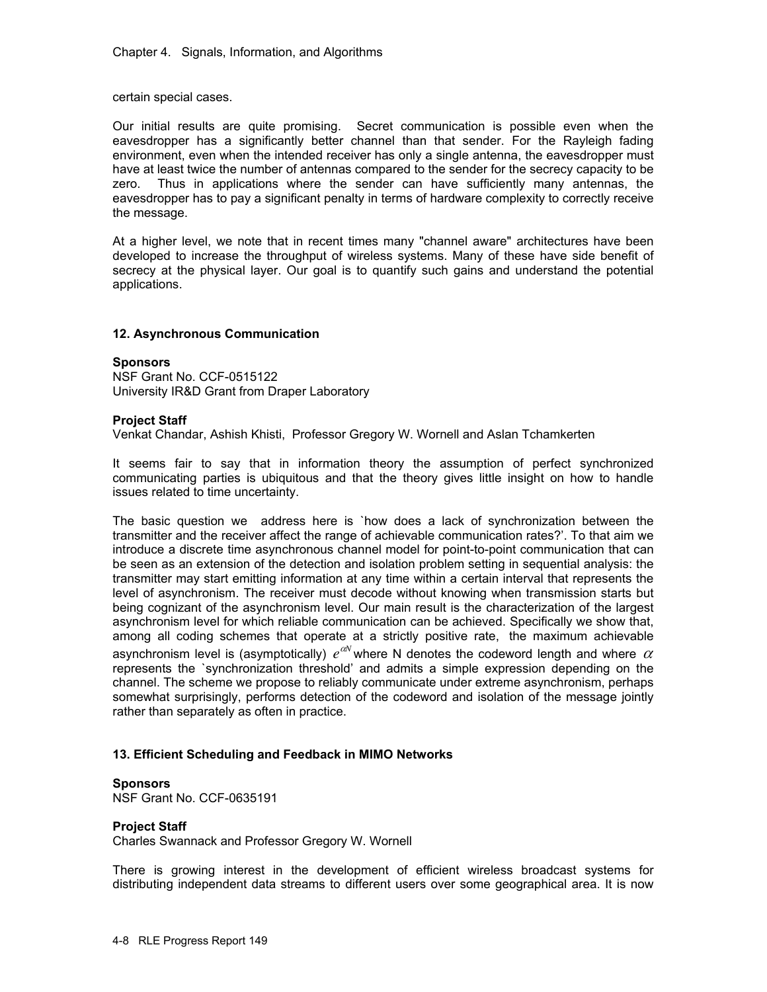certain special cases.

Our initial results are quite promising. Secret communication is possible even when the eavesdropper has a significantly better channel than that sender. For the Rayleigh fading environment, even when the intended receiver has only a single antenna, the eavesdropper must have at least twice the number of antennas compared to the sender for the secrecy capacity to be zero. Thus in applications where the sender can have sufficiently many antennas, the eavesdropper has to pay a significant penalty in terms of hardware complexity to correctly receive the message.

At a higher level, we note that in recent times many "channel aware" architectures have been developed to increase the throughput of wireless systems. Many of these have side benefit of secrecy at the physical layer. Our goal is to quantify such gains and understand the potential applications.

# **12. Asynchronous Communication**

### **Sponsors**

NSF Grant No. CCF-0515122 University IR&D Grant from Draper Laboratory

### **Project Staff**

Venkat Chandar, Ashish Khisti, Professor Gregory W. Wornell and Aslan Tchamkerten

It seems fair to say that in information theory the assumption of perfect synchronized communicating parties is ubiquitous and that the theory gives little insight on how to handle issues related to time uncertainty.

The basic question we address here is `how does a lack of synchronization between the transmitter and the receiver affect the range of achievable communication rates?'. To that aim we introduce a discrete time asynchronous channel model for point-to-point communication that can be seen as an extension of the detection and isolation problem setting in sequential analysis: the transmitter may start emitting information at any time within a certain interval that represents the level of asynchronism. The receiver must decode without knowing when transmission starts but being cognizant of the asynchronism level. Our main result is the characterization of the largest asynchronism level for which reliable communication can be achieved. Specifically we show that, among all coding schemes that operate at a strictly positive rate, the maximum achievable asynchronism level is (asymptotically)  $e^{aN}$  where N denotes the codeword length and where  $\alpha$ represents the `synchronization threshold' and admits a simple expression depending on the channel. The scheme we propose to reliably communicate under extreme asynchronism, perhaps somewhat surprisingly, performs detection of the codeword and isolation of the message jointly rather than separately as often in practice.

# **13. Efficient Scheduling and Feedback in MIMO Networks**

#### **Sponsors**

NSF Grant No. CCF-0635191

# **Project Staff**

Charles Swannack and Professor Gregory W. Wornell

There is growing interest in the development of efficient wireless broadcast systems for distributing independent data streams to different users over some geographical area. It is now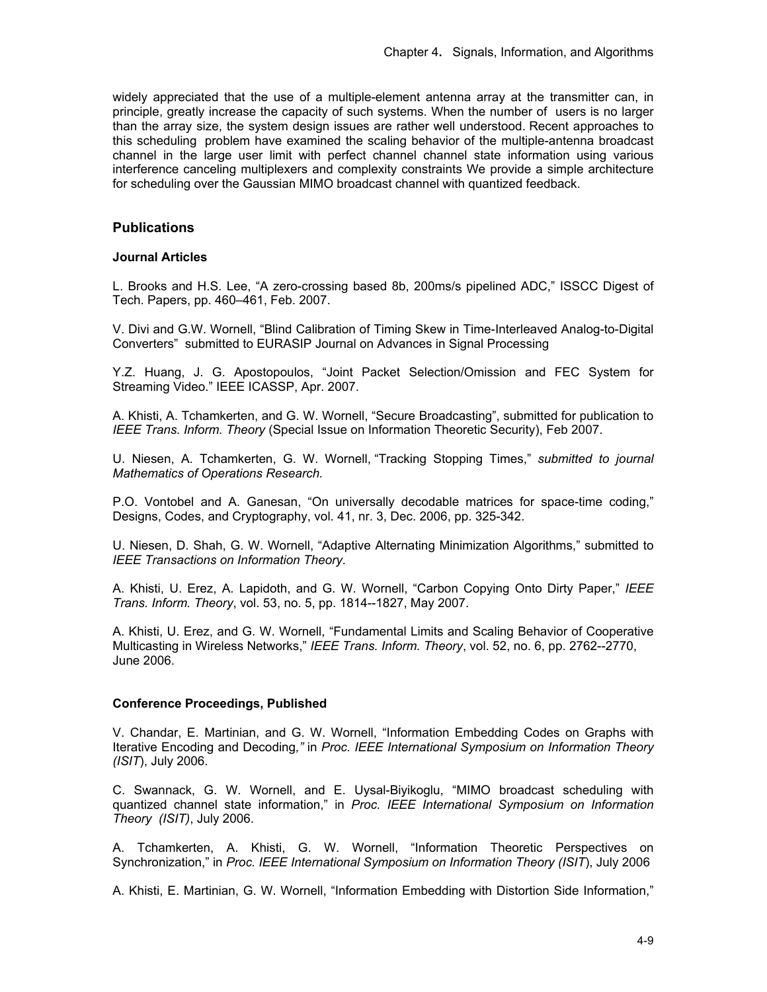widely appreciated that the use of a multiple-element antenna array at the transmitter can, in principle, greatly increase the capacity of such systems. When the number of users is no larger than the array size, the system design issues are rather well understood. Recent approaches to this scheduling problem have examined the scaling behavior of the multiple-antenna broadcast channel in the large user limit with perfect channel channel state information using various interference canceling multiplexers and complexity constraints We provide a simple architecture for scheduling over the Gaussian MIMO broadcast channel with quantized feedback.

# **Publications**

### **Journal Articles**

L. Brooks and H.S. Lee, "A zero-crossing based 8b, 200ms/s pipelined ADC," ISSCC Digest of Tech. Papers, pp. 460–461, Feb. 2007.

V. Divi and G.W. Wornell, "Blind Calibration of Timing Skew in Time-Interleaved Analog-to-Digital Converters" submitted to EURASIP Journal on Advances in Signal Processing

Y.Z. Huang, J. G. Apostopoulos, "Joint Packet Selection/Omission and FEC System for Streaming Video." IEEE ICASSP, Apr. 2007.

A. Khisti, A. Tchamkerten, and G. W. Wornell, "Secure Broadcasting", submitted for publication to *IEEE Trans. Inform. Theory* (Special Issue on Information Theoretic Security), Feb 2007.

U. Niesen, A. Tchamkerten, G. W. Wornell, "Tracking Stopping Times," *submitted to journal Mathematics of Operations Research.*

P.O. Vontobel and A. Ganesan, "On universally decodable matrices for space-time coding," Designs, Codes, and Cryptography, vol. 41, nr. 3, Dec. 2006, pp. 325-342.

U. Niesen, D. Shah, G. W. Wornell, "Adaptive Alternating Minimization Algorithms," submitted to *IEEE Transactions on Information Theory.* 

A. Khisti, U. Erez, A. Lapidoth, and G. W. Wornell, "Carbon Copying Onto Dirty Paper," *IEEE Trans. Inform. Theory*, vol. 53, no. 5, pp. 1814--1827, May 2007.

A. Khisti, U. Erez, and G. W. Wornell, "Fundamental Limits and Scaling Behavior of Cooperative Multicasting in Wireless Networks," *IEEE Trans. Inform. Theory*, vol. 52, no. 6, pp. 2762--2770, June 2006.

# **Conference Proceedings, Published**

V. Chandar, E. Martinian, and G. W. Wornell, "Information Embedding Codes on Graphs with Iterative Encoding and Decoding*,"* in *Proc. IEEE International Symposium on Information Theory (ISIT*), July 2006.

C. Swannack, G. W. Wornell, and E. Uysal-Biyikoglu, "MIMO broadcast scheduling with quantized channel state information," in *Proc. IEEE International Symposium on Information Theory (ISIT)*, July 2006.

A. Tchamkerten, A. Khisti, G. W. Wornell, "Information Theoretic Perspectives on Synchronization," in *Proc. IEEE International Symposium on Information Theory (ISIT*), July 2006

A. Khisti, E. Martinian, G. W. Wornell, "Information Embedding with Distortion Side Information,"